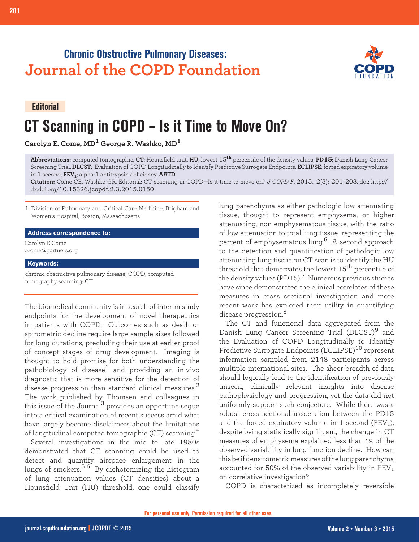## **Chronic Obstructive Pulmonary Diseases: Journal of the COPD Foundation**

**Editorial**

**201 Editorial: CT Scanning in COPD**

# **CT Scanning in COPD – Is it Time to Move On?**

**Carolyn E. Come, MD1 George R. Washko, MD<sup>1</sup>**

**Abbreviations:** computed tomographic, **CT**; Hounsfield unit, **HU**; lowest 15**th** percentile of the density values, **PD15**; Danish Lung Cancer Screening Trial, **DLCST**; Evaluation of COPD Longitudinally to Identify Predictive Surrogate Endpoints, **ECLIPSE**; forced expiratory volume in 1 second, **FEV1**; alpha-1 antitrypsin deficiency, **AATD**

**Citation:** Come CE, Washko GR. Editorial: CT scanning in COPD—Is it time to move on? *J COPD F*. 2015. 2(3): 201-203. doi: http:// dx.doi.org/10.15326.jcopdf.2.3.2015.0150

1 Division of Pulmonary and Critical Care Medicine, Brigham and Women's Hospital, Boston, Massachusetts

#### **Address correspondence to:**

Carolyn E.Come ccome@partners.org

#### **Keywords:**

chronic obstructive pulmonary disease; COPD; computed tomography scanning; CT

The biomedical community is in search of interim study endpoints for the development of novel therapeutics in patients with COPD. Outcomes such as death or spirometric decline require large sample sizes followed for long durations, precluding their use at earlier proof of concept stages of drug development. Imaging is thought to hold promise for both understanding the pathobiology of disease<sup>1</sup> and providing an in-vivo diagnostic that is more sensitive for the detection of disease progression than standard clinical measures.<sup>2</sup> The work published by Thomsen and colleagues in this issue of the Journal $3$  provides an opportune segue into a critical examination of recent success amid what have largely become disclaimers about the limitations of longitudinal computed tomographic (CT) scanning.<sup>4</sup>

Several investigations in the mid to late 1980s demonstrated that CT scanning could be used to detect and quantify airspace enlargement in the lungs of smokers.5,6 By dichotomizing the histogram of lung attenuation values (CT densities) about a Hounsfield Unit (HU) threshold, one could classify

lung parenchyma as either pathologic low attenuating tissue, thought to represent emphysema, or higher attenuating, non-emphysematous tissue, with the ratio of low attenuation to total lung tissue representing the percent of emphysematous lung.6 A second approach to the detection and quantification of pathologic low attenuating lung tissue on CT scan is to identify the HU threshold that demarcates the lowest  $15^{\text{th}}$  percentile of the density values (PD15).<sup>7</sup> Numerous previous studies have since demonstrated the clinical correlates of these measures in cross sectional investigation and more recent work has explored their utility in quantifying disease progression.<sup>8</sup>

The CT and functional data aggregated from the Danish Lung Cancer Screening Trial (DLCST)<sup>9</sup> and the Evaluation of COPD Longitudinally to Identify Predictive Surrogate Endpoints (ECLIPSE)<sup>10</sup> represent information sampled from 2148 participants across multiple international sites. The sheer breadth of data should logically lead to the identification of previously unseen, clinically relevant insights into disease pathophysiology and progression, yet the data did not uniformly support such conjecture. While there was a robust cross sectional association between the PD15 and the forced expiratory volume in 1 second ( $FEV<sub>1</sub>$ ), despite being statistically significant, the change in CT measures of emphysema explained less than 1% of the observed variability in lung function decline. How can this be if densitometric measures of the lung parenchyma accounted for 50% of the observed variability in  $FEV<sub>1</sub>$ on correlative investigation?

COPD is characterized as incompletely reversible

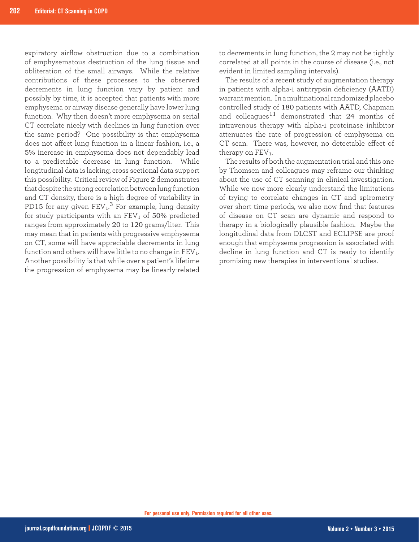expiratory airflow obstruction due to a combination of emphysematous destruction of the lung tissue and obliteration of the small airways. While the relative contributions of these processes to the observed decrements in lung function vary by patient and possibly by time, it is accepted that patients with more emphysema or airway disease generally have lower lung function. Why then doesn't more emphysema on serial CT correlate nicely with declines in lung function over the same period? One possibility is that emphysema does not affect lung function in a linear fashion, i.e., a 5% increase in emphysema does not dependably lead to a predictable decrease in lung function. While longitudinal data is lacking, cross sectional data support this possibility. Critical review of Figure 2 demonstrates that despite the strong correlation between lung function and CT density, there is a high degree of variability in PD15 for any given  $\text{FEV}_1$ .<sup>3</sup> For example, lung density for study participants with an  $FEV<sub>1</sub>$  of 50% predicted ranges from approximately 20 to 120 grams/liter. This may mean that in patients with progressive emphysema on CT, some will have appreciable decrements in lung function and others will have little to no change in  $FEV<sub>1</sub>$ . Another possibility is that while over a patient's lifetime the progression of emphysema may be linearly-related

to decrements in lung function, the 2 may not be tightly correlated at all points in the course of disease (i.e., not evident in limited sampling intervals).

The results of a recent study of augmentation therapy in patients with alpha-1 antitrypsin deficiency (AATD) warrant mention. In a multinational randomized placebo controlled study of 180 patients with AATD, Chapman and colleagues $11$  demonstrated that 24 months of intravenous therapy with alpha-1 proteinase inhibitor attenuates the rate of progression of emphysema on CT scan. There was, however, no detectable effect of therapy on  $FEV<sub>1</sub>$ .

The results of both the augmentation trial and this one by Thomsen and colleagues may reframe our thinking about the use of CT scanning in clinical investigation. While we now more clearly understand the limitations of trying to correlate changes in CT and spirometry over short time periods, we also now find that features of disease on CT scan are dynamic and respond to therapy in a biologically plausible fashion. Maybe the longitudinal data from DLCST and ECLIPSE are proof enough that emphysema progression is associated with decline in lung function and CT is ready to identify promising new therapies in interventional studies.